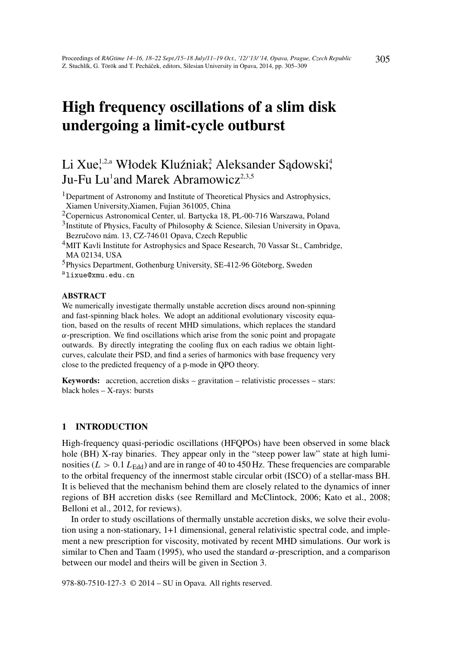# High frequency oscillations of a slim disk undergoing a limit-cycle outburst

# Li Xue<sup>1,2,a</sup> Włodek Kluźniak<sup>2</sup>, Aleksander Sądowski<sup>4</sup>, Ju-Fu Lu<sup>1</sup>and Marek Abramowicz<sup>2,3,5</sup>

<sup>1</sup>Department of Astronomy and Institute of Theoretical Physics and Astrophysics, Xiamen University,Xiamen, Fujian 361005, China

<sup>2</sup>Copernicus Astronomical Center, ul. Bartycka 18, PL-00-716 Warszawa, Poland

<sup>3</sup>Institute of Physics, Faculty of Philosophy & Science, Silesian University in Opava, Bezručovo nám. 13, CZ-74601 Opava, Czech Republic

<sup>4</sup>MIT Kavli Institute for Astrophysics and Space Research, 70 Vassar St., Cambridge, MA 02134, USA

<sup>5</sup>Physics Department, Gothenburg University, SE-412-96 Göteborg, Sweden

alixue@xmu.edu.cn

#### ABSTRACT

We numerically investigate thermally unstable accretion discs around non-spinning and fast-spinning black holes. We adopt an additional evolutionary viscosity equation, based on the results of recent MHD simulations, which replaces the standard  $\alpha$ -prescription. We find oscillations which arise from the sonic point and propagate outwards. By directly integrating the cooling flux on each radius we obtain lightcurves, calculate their PSD, and find a series of harmonics with base frequency very close to the predicted frequency of a p-mode in QPO theory.

Keywords: accretion, accretion disks – gravitation – relativistic processes – stars: black holes – X-rays: bursts

## 1 INTRODUCTION

High-frequency quasi-periodic oscillations (HFQPOs) have been observed in some black hole (BH) X-ray binaries. They appear only in the "steep power law" state at high luminosities ( $L > 0.1 L_{\text{Edd}}$ ) and are in range of 40 to 450 Hz. These frequencies are comparable to the orbital frequency of the innermost stable circular orbit (ISCO) of a stellar-mass BH. It is believed that the mechanism behind them are closely related to the dynamics of inner regions of BH accretion disks (see Remillard and McClintock, 2006; Kato et al., 2008; Belloni et al., 2012, for reviews).

In order to study oscillations of thermally unstable accretion disks, we solve their evolution using a non-stationary, 1+1 dimensional, general relativistic spectral code, and implement a new prescription for viscosity, motivated by recent MHD simulations. Our work is similar to Chen and Taam (1995), who used the standard  $\alpha$ -prescription, and a comparison between our model and theirs will be given in Section 3.

978-80-7510-127-3 © 2014 – SU in Opava. All rights reserved.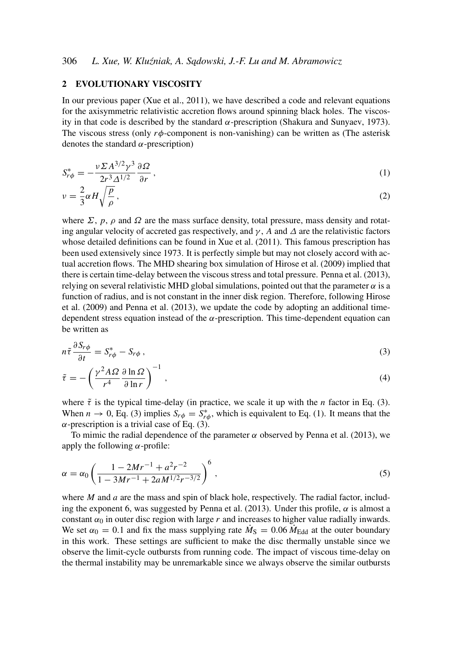#### 2 EVOLUTIONARY VISCOSITY

In our previous paper (Xue et al., 2011), we have described a code and relevant equations for the axisymmetric relativistic accretion flows around spinning black holes. The viscosity in that code is described by the standard  $\alpha$ -prescription (Shakura and Sunyaev, 1973). The viscous stress (only  $r\phi$ -component is non-vanishing) can be written as (The asterisk denotes the standard  $\alpha$ -prescription)

$$
S_{r\phi}^* = -\frac{\nu \Sigma A^{3/2} \gamma^3}{2r^3 \Delta^{1/2}} \frac{\partial \Omega}{\partial r},
$$
\n
$$
S_{r\phi}^* = -\frac{\nu \Sigma A^{3/2} \gamma^3}{2r^3 \Delta^{1/2}} \frac{\partial \Omega}{\partial r},
$$
\n
$$
S_{r\phi}^* = -\frac{\nu \Sigma A^{3/2} \gamma^3}{2r^3 \Delta^{1/2}} \frac{\partial \Omega}{\partial r},
$$
\n
$$
S_{r\phi}^* = -\frac{\nu \Sigma A^{3/2} \gamma^3}{2r^3 \Delta^{1/2}} \frac{\partial \Omega}{\partial r},
$$
\n
$$
S_{r\phi}^* = -\frac{\nu \Sigma A^{3/2} \gamma^3}{2r^3 \Delta^{1/2}} \frac{\partial \Omega}{\partial r},
$$
\n
$$
S_{r\phi}^* = -\frac{\nu \Sigma A^{3/2} \gamma^3}{2r^3 \Delta^{1/2}} \frac{\partial \Omega}{\partial r},
$$
\n
$$
S_{r\phi}^* = -\frac{\nu \Sigma A^{3/2} \gamma^3}{2r^3 \Delta^{1/2}} \frac{\partial \Omega}{\partial r},
$$
\n
$$
S_{r\phi}^* = -\frac{\nu \Sigma A^{3/2} \gamma^3}{2r^3 \Delta^{1/2}} \frac{\partial \Omega}{\partial r},
$$
\n
$$
S_{r\phi}^* = -\frac{\nu \Sigma A^{3/2} \gamma^3}{2r^3 \Delta^{1/2}} \frac{\partial \Omega}{\partial r},
$$
\n
$$
S_{r\phi}^* = -\frac{\nu \Sigma A^{3/2} \gamma^3}{2r^3 \Delta^{1/2}} \frac{\partial \Omega}{\partial r},
$$
\n
$$
S_{r\phi}^* = -\frac{\nu \Sigma A^{3/2} \gamma^3}{2r^3 \Delta^{1/2}} \frac{\partial \Omega}{\partial r},
$$
\n
$$
S_{r\phi}^* = -\frac{\nu \Sigma A^{3/2} \gamma^3}{2r^3 \Delta^{1/2}} \frac{\partial \Omega}{\partial r},
$$
\n
$$
S_{r\phi}^* = -\frac{\nu \Sigma A^{3/2} \gamma^3}{2r^3 \Delta^{1/2}} \frac{\partial \Omega}{\partial r},
$$

$$
v = \frac{2}{3}\alpha H \sqrt{\frac{p}{\rho}},\tag{2}
$$

where  $\Sigma$ ,  $p$ ,  $\rho$  and  $\Omega$  are the mass surface density, total pressure, mass density and rotating angular velocity of accreted gas respectively, and  $\gamma$ , *A* and  $\Delta$  are the relativistic factors whose detailed definitions can be found in Xue et al. (2011). This famous prescription has been used extensively since 1973. It is perfectly simple but may not closely accord with actual accretion flows. The MHD shearing box simulation of Hirose et al. (2009) implied that there is certain time-delay between the viscous stress and total pressure. Penna et al. (2013), relying on several relativistic MHD global simulations, pointed out that the parameter  $\alpha$  is a function of radius, and is not constant in the inner disk region. Therefore, following Hirose et al. (2009) and Penna et al. (2013), we update the code by adopting an additional timedependent stress equation instead of the  $\alpha$ -prescription. This time-dependent equation can be written as

$$
n\tilde{\tau}\frac{\partial S_{r\phi}}{\partial t} = S_{r\phi}^* - S_{r\phi} \,,\tag{3}
$$

$$
\tilde{\tau} = -\left(\frac{\gamma^2 A \Omega}{r^4} \frac{\partial \ln \Omega}{\partial \ln r}\right)^{-1},\tag{4}
$$

where  $\tilde{\tau}$  is the typical time-delay (in practice, we scale it up with the *n* factor in Eq. (3). When  $n \to 0$ , Eq. (3) implies  $S_{r\phi} = S_{r\phi}^*$ , which is equivalent to Eq. (1). It means that the  $\alpha$ -prescription is a trivial case of Eq. (3).

To mimic the radial dependence of the parameter  $\alpha$  observed by Penna et al. (2013), we apply the following  $\alpha$ -profile:

$$
\alpha = \alpha_0 \left( \frac{1 - 2Mr^{-1} + a^2r^{-2}}{1 - 3Mr^{-1} + 2aM^{1/2}r^{-3/2}} \right)^6,
$$
\n(5)

where *M* and *a* are the mass and spin of black hole, respectively. The radial factor, including the exponent 6, was suggested by Penna et al. (2013). Under this profile,  $\alpha$  is almost a constant  $\alpha_0$  in outer disc region with large *r* and increases to higher value radially inwards. We set  $\alpha_0 = 0.1$  and fix the mass supplying rate  $\dot{M}_{\rm S} = 0.06 \dot{M}_{\rm Edd}$  at the outer boundary in this work. These settings are sufficient to make the disc thermally unstable since we observe the limit-cycle outbursts from running code. The impact of viscous time-delay on the thermal instability may be unremarkable since we always observe the similar outbursts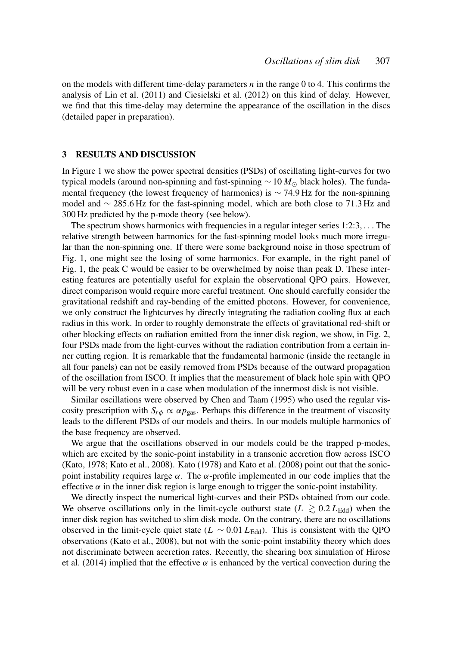on the models with different time-delay parameters *n* in the range 0 to 4. This confirms the analysis of Lin et al. (2011) and Ciesielski et al. (2012) on this kind of delay. However, we find that this time-delay may determine the appearance of the oscillation in the discs (detailed paper in preparation).

#### 3 RESULTS AND DISCUSSION

In Figure 1 we show the power spectral densities (PSDs) of oscillating light-curves for two typical models (around non-spinning and fast-spinning ∼10 *M* black holes). The fundamental frequency (the lowest frequency of harmonics) is  $\sim$  74.9 Hz for the non-spinning model and ∼ 285.6 Hz for the fast-spinning model, which are both close to 71.3 Hz and 300 Hz predicted by the p-mode theory (see below).

The spectrum shows harmonics with frequencies in a regular integer series 1:2:3, . . . The relative strength between harmonics for the fast-spinning model looks much more irregular than the non-spinning one. If there were some background noise in those spectrum of Fig. 1, one might see the losing of some harmonics. For example, in the right panel of Fig. 1, the peak C would be easier to be overwhelmed by noise than peak D. These interesting features are potentially useful for explain the observational QPO pairs. However, direct comparison would require more careful treatment. One should carefully consider the gravitational redshift and ray-bending of the emitted photons. However, for convenience, we only construct the lightcurves by directly integrating the radiation cooling flux at each radius in this work. In order to roughly demonstrate the effects of gravitational red-shift or other blocking effects on radiation emitted from the inner disk region, we show, in Fig. 2, four PSDs made from the light-curves without the radiation contribution from a certain inner cutting region. It is remarkable that the fundamental harmonic (inside the rectangle in all four panels) can not be easily removed from PSDs because of the outward propagation of the oscillation from ISCO. It implies that the measurement of black hole spin with QPO will be very robust even in a case when modulation of the innermost disk is not visible.

Similar oscillations were observed by Chen and Taam (1995) who used the regular viscosity prescription with  $S_{r\phi} \propto \alpha p_{\text{gas}}$ . Perhaps this difference in the treatment of viscosity leads to the different PSDs of our models and theirs. In our models multiple harmonics of the base frequency are observed.

We argue that the oscillations observed in our models could be the trapped p-modes, which are excited by the sonic-point instability in a transonic accretion flow across ISCO (Kato, 1978; Kato et al., 2008). Kato (1978) and Kato et al. (2008) point out that the sonicpoint instability requires large  $\alpha$ . The  $\alpha$ -profile implemented in our code implies that the effective  $\alpha$  in the inner disk region is large enough to trigger the sonic-point instability.

We directly inspect the numerical light-curves and their PSDs obtained from our code. We observe oscillations only in the limit-cycle outburst state ( $L \geq 0.2 L_{\text{Edd}}$ ) when the inner disk region has switched to slim disk mode. On the contrary, there are no oscillations observed in the limit-cycle quiet state ( $L \sim 0.01 L_{\text{Edd}}$ ). This is consistent with the QPO observations (Kato et al., 2008), but not with the sonic-point instability theory which does not discriminate between accretion rates. Recently, the shearing box simulation of Hirose et al. (2014) implied that the effective  $\alpha$  is enhanced by the vertical convection during the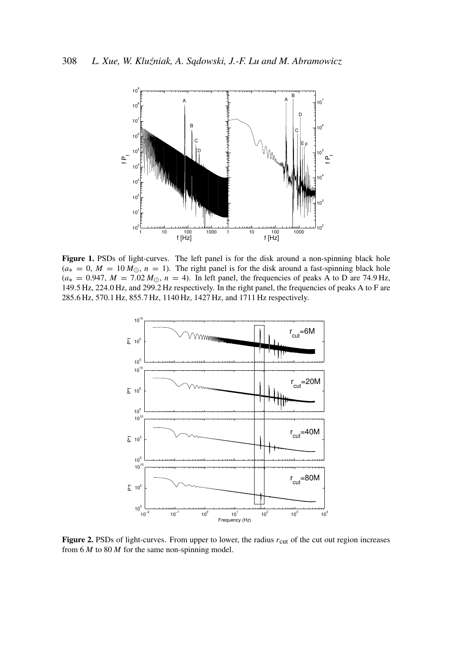

Figure 1. PSDs of light-curves. The left panel is for the disk around a non-spinning black hole  $(a_*) = 0, M = 10 M_{\odot}, n = 1$ . The right panel is for the disk around a fast-spinning black hole  $(a_*) = 0.947$ ,  $M = 7.02 M_{\odot}$ ,  $n = 4$ ). In left panel, the frequencies of peaks A to D are 74.9 Hz, 149.5 Hz, 224.0 Hz, and 299.2 Hz respectively. In the right panel, the frequencies of peaks A to F are 285.6 Hz, 570.1 Hz, 855.7 Hz, 1140 Hz, 1427 Hz, and 1711 Hz respectively.



Figure 2. PSDs of light-curves. From upper to lower, the radius  $r_{\text{cut}}$  of the cut out region increases from 6 *M* to 80 *M* for the same non-spinning model.